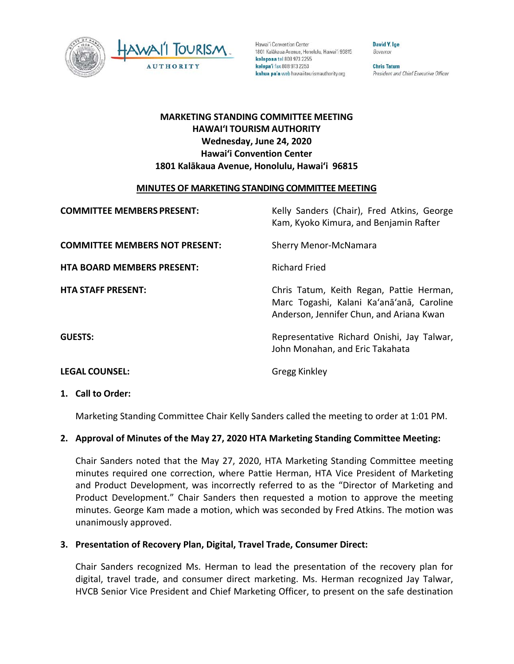



Hawai'i Convention Center 1801 Kalākaua Avenue, Honolulu, Hawai'i 96815 kelepona tel 808 973 2255 kelepa'i fax 808 973 2253 kahua pa'a web hawaiitourismauthority.org

**David Y. Ige** Governor

**Chris Tatum** President and Chief Executive Officer

# **MARKETING STANDING COMMITTEE MEETING HAWAI'I TOURISM AUTHORITY Wednesday, June 24, 2020 Hawai'i Convention Center 1801 Kalākaua Avenue, Honolulu, Hawai'i 96815**

# **MINUTES OF MARKETING STANDING COMMITTEE MEETING**

| <b>COMMITTEE MEMBERS PRESENT:</b>     | Kelly Sanders (Chair), Fred Atkins, George<br>Kam, Kyoko Kimura, and Benjamin Rafter                                              |
|---------------------------------------|-----------------------------------------------------------------------------------------------------------------------------------|
| <b>COMMITTEE MEMBERS NOT PRESENT:</b> | <b>Sherry Menor-McNamara</b>                                                                                                      |
| <b>HTA BOARD MEMBERS PRESENT:</b>     | <b>Richard Fried</b>                                                                                                              |
| <b>HTA STAFF PRESENT:</b>             | Chris Tatum, Keith Regan, Pattie Herman,<br>Marc Togashi, Kalani Ka'anā'anā, Caroline<br>Anderson, Jennifer Chun, and Ariana Kwan |
| <b>GUESTS:</b>                        | Representative Richard Onishi, Jay Talwar,<br>John Monahan, and Eric Takahata                                                     |
| <b>LEGAL COUNSEL:</b>                 | <b>Gregg Kinkley</b>                                                                                                              |

# **1. Call to Order:**

Marketing Standing Committee Chair Kelly Sanders called the meeting to order at 1:01 PM.

# **2. Approval of Minutes of the May 27, 2020 HTA Marketing Standing Committee Meeting:**

Chair Sanders noted that the May 27, 2020, HTA Marketing Standing Committee meeting minutes required one correction, where Pattie Herman, HTA Vice President of Marketing and Product Development, was incorrectly referred to as the "Director of Marketing and Product Development." Chair Sanders then requested a motion to approve the meeting minutes. George Kam made a motion, which was seconded by Fred Atkins. The motion was unanimously approved.

# **3. Presentation of Recovery Plan, Digital, Travel Trade, Consumer Direct:**

Chair Sanders recognized Ms. Herman to lead the presentation of the recovery plan for digital, travel trade, and consumer direct marketing. Ms. Herman recognized Jay Talwar, HVCB Senior Vice President and Chief Marketing Officer, to present on the safe destination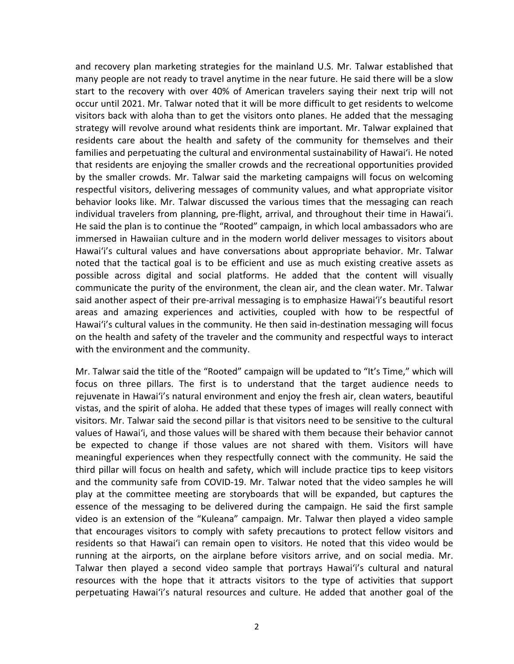and recovery plan marketing strategies for the mainland U.S. Mr. Talwar established that many people are not ready to travel anytime in the near future. He said there will be a slow start to the recovery with over 40% of American travelers saying their next trip will not occur until 2021. Mr. Talwar noted that it will be more difficult to get residents to welcome visitors back with aloha than to get the visitors onto planes. He added that the messaging strategy will revolve around what residents think are important. Mr. Talwar explained that residents care about the health and safety of the community for themselves and their families and perpetuating the cultural and environmental sustainability of Hawaiʻi. He noted that residents are enjoying the smaller crowds and the recreational opportunities provided by the smaller crowds. Mr. Talwar said the marketing campaigns will focus on welcoming respectful visitors, delivering messages of community values, and what appropriate visitor behavior looks like. Mr. Talwar discussed the various times that the messaging can reach individual travelers from planning, pre-flight, arrival, and throughout their time in Hawaiʻi. He said the plan is to continue the "Rooted" campaign, in which local ambassadors who are immersed in Hawaiian culture and in the modern world deliver messages to visitors about Hawaiʻi's cultural values and have conversations about appropriate behavior. Mr. Talwar noted that the tactical goal is to be efficient and use as much existing creative assets as possible across digital and social platforms. He added that the content will visually communicate the purity of the environment, the clean air, and the clean water. Mr. Talwar said another aspect of their pre-arrival messaging is to emphasize Hawaiʻi's beautiful resort areas and amazing experiences and activities, coupled with how to be respectful of Hawaiʻi's cultural values in the community. He then said in-destination messaging will focus on the health and safety of the traveler and the community and respectful ways to interact with the environment and the community.

Mr. Talwar said the title of the "Rooted" campaign will be updated to "It's Time," which will focus on three pillars. The first is to understand that the target audience needs to rejuvenate in Hawaiʻi's natural environment and enjoy the fresh air, clean waters, beautiful vistas, and the spirit of aloha. He added that these types of images will really connect with visitors. Mr. Talwar said the second pillar is that visitors need to be sensitive to the cultural values of Hawaiʻi, and those values will be shared with them because their behavior cannot be expected to change if those values are not shared with them. Visitors will have meaningful experiences when they respectfully connect with the community. He said the third pillar will focus on health and safety, which will include practice tips to keep visitors and the community safe from COVID-19. Mr. Talwar noted that the video samples he will play at the committee meeting are storyboards that will be expanded, but captures the essence of the messaging to be delivered during the campaign. He said the first sample video is an extension of the "Kuleana" campaign. Mr. Talwar then played a video sample that encourages visitors to comply with safety precautions to protect fellow visitors and residents so that Hawaiʻi can remain open to visitors. He noted that this video would be running at the airports, on the airplane before visitors arrive, and on social media. Mr. Talwar then played a second video sample that portrays Hawaiʻi's cultural and natural resources with the hope that it attracts visitors to the type of activities that support perpetuating Hawaiʻi's natural resources and culture. He added that another goal of the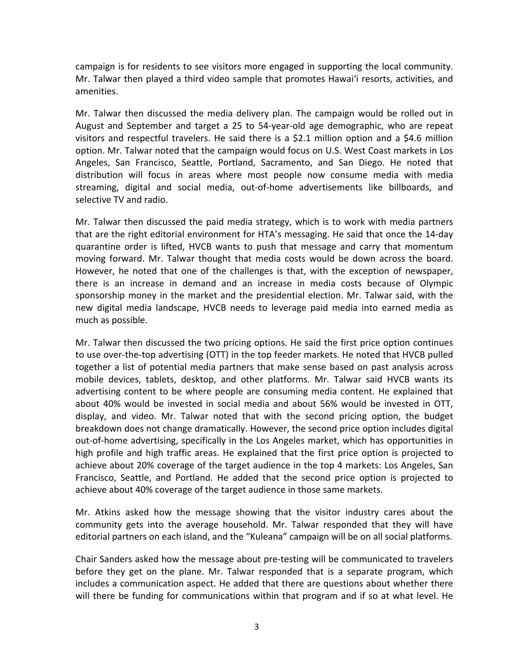campaign is for residents to see visitors more engaged in supporting the local community. Mr. Talwar then played a third video sample that promotes Hawaiʻi resorts, activities, and amenities.

Mr. Talwar then discussed the media delivery plan. The campaign would be rolled out in August and September and target a 25 to 54-year-old age demographic, who are repeat visitors and respectful travelers. He said there is a \$2.1 million option and a \$4.6 million option. Mr. Talwar noted that the campaign would focus on U.S. West Coast markets in Los Angeles, San Francisco, Seattle, Portland, Sacramento, and San Diego. He noted that distribution will focus in areas where most people now consume media with media streaming, digital and social media, out-of-home advertisements like billboards, and selective TV and radio.

Mr. Talwar then discussed the paid media strategy, which is to work with media partners that are the right editorial environment for HTA's messaging. He said that once the 14-day quarantine order is lifted, HVCB wants to push that message and carry that momentum moving forward. Mr. Talwar thought that media costs would be down across the board. However, he noted that one of the challenges is that, with the exception of newspaper, there is an increase in demand and an increase in media costs because of Olympic sponsorship money in the market and the presidential election. Mr. Talwar said, with the new digital media landscape, HVCB needs to leverage paid media into earned media as much as possible.

Mr. Talwar then discussed the two pricing options. He said the first price option continues to use over-the-top advertising (OTT) in the top feeder markets. He noted that HVCB pulled together a list of potential media partners that make sense based on past analysis across mobile devices, tablets, desktop, and other platforms. Mr. Talwar said HVCB wants its advertising content to be where people are consuming media content. He explained that about 40% would be invested in social media and about 56% would be invested in OTT, display, and video. Mr. Talwar noted that with the second pricing option, the budget breakdown does not change dramatically. However, the second price option includes digital out-of-home advertising, specifically in the Los Angeles market, which has opportunities in high profile and high traffic areas. He explained that the first price option is projected to achieve about 20% coverage of the target audience in the top 4 markets: Los Angeles, San Francisco, Seattle, and Portland. He added that the second price option is projected to achieve about 40% coverage of the target audience in those same markets.

Mr. Atkins asked how the message showing that the visitor industry cares about the community gets into the average household. Mr. Talwar responded that they will have editorial partners on each island, and the "Kuleana" campaign will be on all social platforms.

Chair Sanders asked how the message about pre-testing will be communicated to travelers before they get on the plane. Mr. Talwar responded that is a separate program, which includes a communication aspect. He added that there are questions about whether there will there be funding for communications within that program and if so at what level. He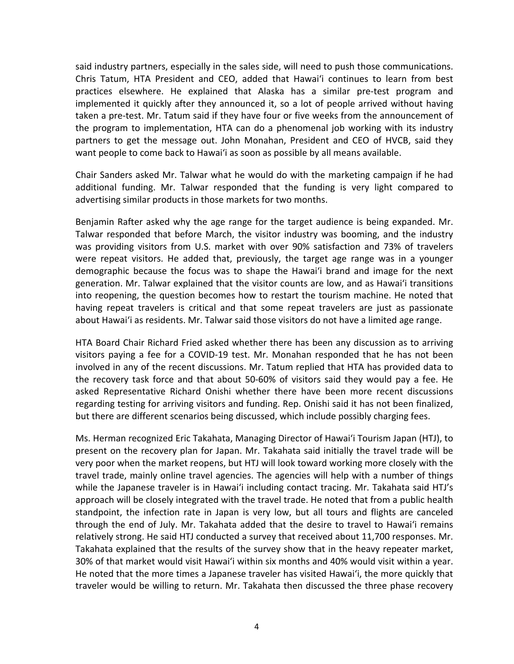said industry partners, especially in the sales side, will need to push those communications. Chris Tatum, HTA President and CEO, added that Hawaiʻi continues to learn from best practices elsewhere. He explained that Alaska has a similar pre-test program and implemented it quickly after they announced it, so a lot of people arrived without having taken a pre-test. Mr. Tatum said if they have four or five weeks from the announcement of the program to implementation, HTA can do a phenomenal job working with its industry partners to get the message out. John Monahan, President and CEO of HVCB, said they want people to come back to Hawaiʻi as soon as possible by all means available.

Chair Sanders asked Mr. Talwar what he would do with the marketing campaign if he had additional funding. Mr. Talwar responded that the funding is very light compared to advertising similar products in those markets for two months.

Benjamin Rafter asked why the age range for the target audience is being expanded. Mr. Talwar responded that before March, the visitor industry was booming, and the industry was providing visitors from U.S. market with over 90% satisfaction and 73% of travelers were repeat visitors. He added that, previously, the target age range was in a younger demographic because the focus was to shape the Hawaiʻi brand and image for the next generation. Mr. Talwar explained that the visitor counts are low, and as Hawaiʻi transitions into reopening, the question becomes how to restart the tourism machine. He noted that having repeat travelers is critical and that some repeat travelers are just as passionate about Hawaiʻi as residents. Mr. Talwar said those visitors do not have a limited age range.

HTA Board Chair Richard Fried asked whether there has been any discussion as to arriving visitors paying a fee for a COVID-19 test. Mr. Monahan responded that he has not been involved in any of the recent discussions. Mr. Tatum replied that HTA has provided data to the recovery task force and that about 50-60% of visitors said they would pay a fee. He asked Representative Richard Onishi whether there have been more recent discussions regarding testing for arriving visitors and funding. Rep. Onishi said it has not been finalized, but there are different scenarios being discussed, which include possibly charging fees.

Ms. Herman recognized Eric Takahata, Managing Director of Hawaiʻi Tourism Japan (HTJ), to present on the recovery plan for Japan. Mr. Takahata said initially the travel trade will be very poor when the market reopens, but HTJ will look toward working more closely with the travel trade, mainly online travel agencies. The agencies will help with a number of things while the Japanese traveler is in Hawaiʻi including contact tracing. Mr. Takahata said HTJ's approach will be closely integrated with the travel trade. He noted that from a public health standpoint, the infection rate in Japan is very low, but all tours and flights are canceled through the end of July. Mr. Takahata added that the desire to travel to Hawaiʻi remains relatively strong. He said HTJ conducted a survey that received about 11,700 responses. Mr. Takahata explained that the results of the survey show that in the heavy repeater market, 30% of that market would visit Hawaiʻi within six months and 40% would visit within a year. He noted that the more times a Japanese traveler has visited Hawaiʻi, the more quickly that traveler would be willing to return. Mr. Takahata then discussed the three phase recovery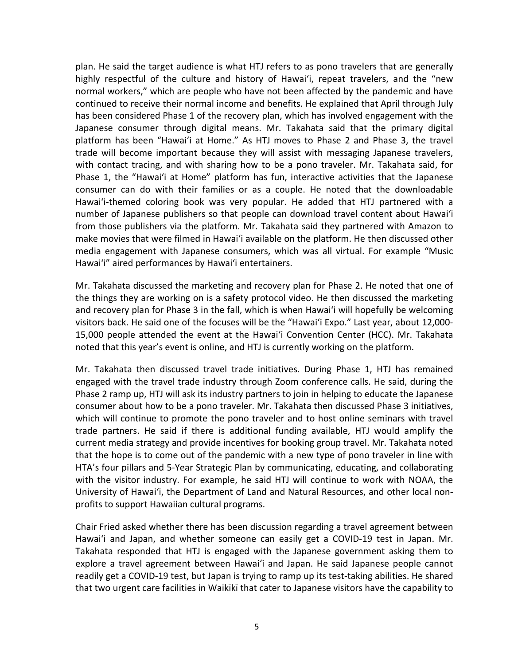plan. He said the target audience is what HTJ refers to as pono travelers that are generally highly respectful of the culture and history of Hawaiʻi, repeat travelers, and the "new normal workers," which are people who have not been affected by the pandemic and have continued to receive their normal income and benefits. He explained that April through July has been considered Phase 1 of the recovery plan, which has involved engagement with the Japanese consumer through digital means. Mr. Takahata said that the primary digital platform has been "Hawaiʻi at Home." As HTJ moves to Phase 2 and Phase 3, the travel trade will become important because they will assist with messaging Japanese travelers, with contact tracing, and with sharing how to be a pono traveler. Mr. Takahata said, for Phase 1, the "Hawaiʻi at Home" platform has fun, interactive activities that the Japanese consumer can do with their families or as a couple. He noted that the downloadable Hawaiʻi-themed coloring book was very popular. He added that HTJ partnered with a number of Japanese publishers so that people can download travel content about Hawaiʻi from those publishers via the platform. Mr. Takahata said they partnered with Amazon to make movies that were filmed in Hawaiʻi available on the platform. He then discussed other media engagement with Japanese consumers, which was all virtual. For example "Music Hawaiʻi" aired performances by Hawaiʻi entertainers.

Mr. Takahata discussed the marketing and recovery plan for Phase 2. He noted that one of the things they are working on is a safety protocol video. He then discussed the marketing and recovery plan for Phase 3 in the fall, which is when Hawaiʻi will hopefully be welcoming visitors back. He said one of the focuses will be the "Hawaiʻi Expo." Last year, about 12,000- 15,000 people attended the event at the Hawaiʻi Convention Center (HCC). Mr. Takahata noted that this year's event is online, and HTJ is currently working on the platform.

Mr. Takahata then discussed travel trade initiatives. During Phase 1, HTJ has remained engaged with the travel trade industry through Zoom conference calls. He said, during the Phase 2 ramp up, HTJ will ask its industry partners to join in helping to educate the Japanese consumer about how to be a pono traveler. Mr. Takahata then discussed Phase 3 initiatives, which will continue to promote the pono traveler and to host online seminars with travel trade partners. He said if there is additional funding available, HTJ would amplify the current media strategy and provide incentives for booking group travel. Mr. Takahata noted that the hope is to come out of the pandemic with a new type of pono traveler in line with HTA's four pillars and 5-Year Strategic Plan by communicating, educating, and collaborating with the visitor industry. For example, he said HTJ will continue to work with NOAA, the University of Hawaiʻi, the Department of Land and Natural Resources, and other local nonprofits to support Hawaiian cultural programs.

Chair Fried asked whether there has been discussion regarding a travel agreement between Hawaiʻi and Japan, and whether someone can easily get a COVID-19 test in Japan. Mr. Takahata responded that HTJ is engaged with the Japanese government asking them to explore a travel agreement between Hawaiʻi and Japan. He said Japanese people cannot readily get a COVID-19 test, but Japan is trying to ramp up its test-taking abilities. He shared that two urgent care facilities in Waikīkī that cater to Japanese visitors have the capability to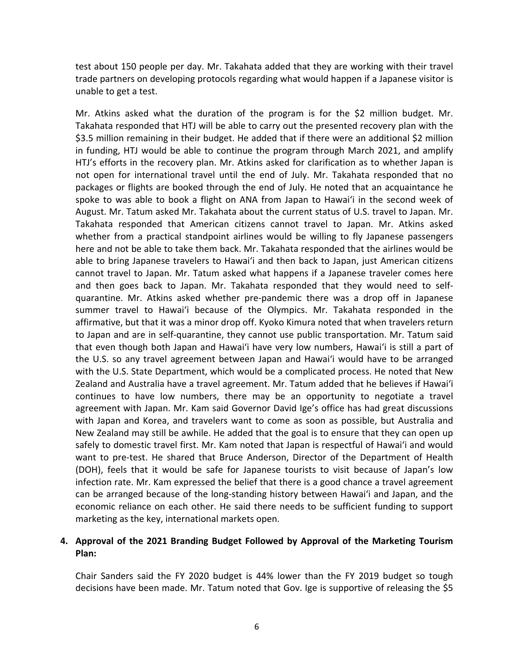test about 150 people per day. Mr. Takahata added that they are working with their travel trade partners on developing protocols regarding what would happen if a Japanese visitor is unable to get a test.

Mr. Atkins asked what the duration of the program is for the \$2 million budget. Mr. Takahata responded that HTJ will be able to carry out the presented recovery plan with the \$3.5 million remaining in their budget. He added that if there were an additional \$2 million in funding, HTJ would be able to continue the program through March 2021, and amplify HTJ's efforts in the recovery plan. Mr. Atkins asked for clarification as to whether Japan is not open for international travel until the end of July. Mr. Takahata responded that no packages or flights are booked through the end of July. He noted that an acquaintance he spoke to was able to book a flight on ANA from Japan to Hawaiʻi in the second week of August. Mr. Tatum asked Mr. Takahata about the current status of U.S. travel to Japan. Mr. Takahata responded that American citizens cannot travel to Japan. Mr. Atkins asked whether from a practical standpoint airlines would be willing to fly Japanese passengers here and not be able to take them back. Mr. Takahata responded that the airlines would be able to bring Japanese travelers to Hawaiʻi and then back to Japan, just American citizens cannot travel to Japan. Mr. Tatum asked what happens if a Japanese traveler comes here and then goes back to Japan. Mr. Takahata responded that they would need to selfquarantine. Mr. Atkins asked whether pre-pandemic there was a drop off in Japanese summer travel to Hawaiʻi because of the Olympics. Mr. Takahata responded in the affirmative, but that it was a minor drop off. Kyoko Kimura noted that when travelers return to Japan and are in self-quarantine, they cannot use public transportation. Mr. Tatum said that even though both Japan and Hawaiʻi have very low numbers, Hawaiʻi is still a part of the U.S. so any travel agreement between Japan and Hawaiʻi would have to be arranged with the U.S. State Department, which would be a complicated process. He noted that New Zealand and Australia have a travel agreement. Mr. Tatum added that he believes if Hawaiʻi continues to have low numbers, there may be an opportunity to negotiate a travel agreement with Japan. Mr. Kam said Governor David Ige's office has had great discussions with Japan and Korea, and travelers want to come as soon as possible, but Australia and New Zealand may still be awhile. He added that the goal is to ensure that they can open up safely to domestic travel first. Mr. Kam noted that Japan is respectful of Hawaiʻi and would want to pre-test. He shared that Bruce Anderson, Director of the Department of Health (DOH), feels that it would be safe for Japanese tourists to visit because of Japan's low infection rate. Mr. Kam expressed the belief that there is a good chance a travel agreement can be arranged because of the long-standing history between Hawaiʻi and Japan, and the economic reliance on each other. He said there needs to be sufficient funding to support marketing as the key, international markets open.

# **4. Approval of the 2021 Branding Budget Followed by Approval of the Marketing Tourism Plan:**

Chair Sanders said the FY 2020 budget is 44% lower than the FY 2019 budget so tough decisions have been made. Mr. Tatum noted that Gov. Ige is supportive of releasing the \$5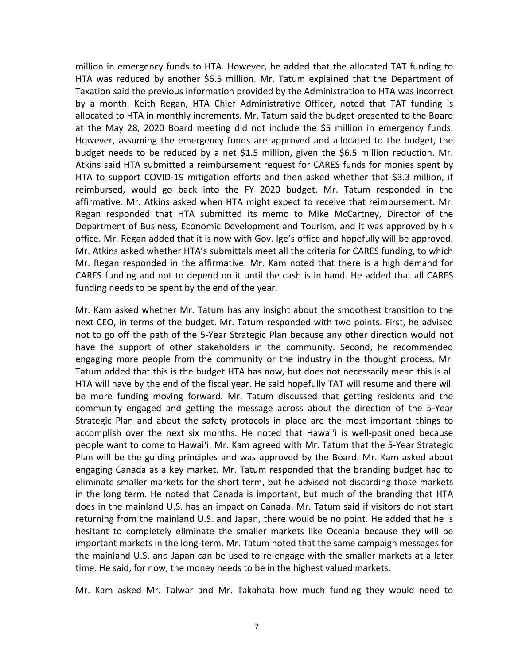million in emergency funds to HTA. However, he added that the allocated TAT funding to HTA was reduced by another \$6.5 million. Mr. Tatum explained that the Department of Taxation said the previous information provided by the Administration to HTA was incorrect by a month. Keith Regan, HTA Chief Administrative Officer, noted that TAT funding is allocated to HTA in monthly increments. Mr. Tatum said the budget presented to the Board at the May 28, 2020 Board meeting did not include the \$5 million in emergency funds. However, assuming the emergency funds are approved and allocated to the budget, the budget needs to be reduced by a net \$1.5 million, given the \$6.5 million reduction. Mr. Atkins said HTA submitted a reimbursement request for CARES funds for monies spent by HTA to support COVID-19 mitigation efforts and then asked whether that \$3.3 million, if reimbursed, would go back into the FY 2020 budget. Mr. Tatum responded in the affirmative. Mr. Atkins asked when HTA might expect to receive that reimbursement. Mr. Regan responded that HTA submitted its memo to Mike McCartney, Director of the Department of Business, Economic Development and Tourism, and it was approved by his office. Mr. Regan added that it is now with Gov. Ige's office and hopefully will be approved. Mr. Atkins asked whether HTA's submittals meet all the criteria for CARES funding, to which Mr. Regan responded in the affirmative. Mr. Kam noted that there is a high demand for CARES funding and not to depend on it until the cash is in hand. He added that all CARES funding needs to be spent by the end of the year.

Mr. Kam asked whether Mr. Tatum has any insight about the smoothest transition to the next CEO, in terms of the budget. Mr. Tatum responded with two points. First, he advised not to go off the path of the 5-Year Strategic Plan because any other direction would not have the support of other stakeholders in the community. Second, he recommended engaging more people from the community or the industry in the thought process. Mr. Tatum added that this is the budget HTA has now, but does not necessarily mean this is all HTA will have by the end of the fiscal year. He said hopefully TAT will resume and there will be more funding moving forward. Mr. Tatum discussed that getting residents and the community engaged and getting the message across about the direction of the 5-Year Strategic Plan and about the safety protocols in place are the most important things to accomplish over the next six months. He noted that Hawaiʻi is well-positioned because people want to come to Hawaiʻi. Mr. Kam agreed with Mr. Tatum that the 5-Year Strategic Plan will be the guiding principles and was approved by the Board. Mr. Kam asked about engaging Canada as a key market. Mr. Tatum responded that the branding budget had to eliminate smaller markets for the short term, but he advised not discarding those markets in the long term. He noted that Canada is important, but much of the branding that HTA does in the mainland U.S. has an impact on Canada. Mr. Tatum said if visitors do not start returning from the mainland U.S. and Japan, there would be no point. He added that he is hesitant to completely eliminate the smaller markets like Oceania because they will be important markets in the long-term. Mr. Tatum noted that the same campaign messages for the mainland U.S. and Japan can be used to re-engage with the smaller markets at a later time. He said, for now, the money needs to be in the highest valued markets.

Mr. Kam asked Mr. Talwar and Mr. Takahata how much funding they would need to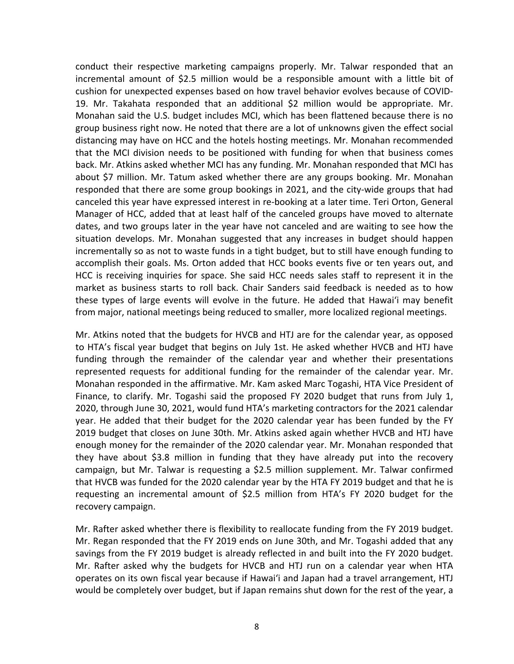conduct their respective marketing campaigns properly. Mr. Talwar responded that an incremental amount of \$2.5 million would be a responsible amount with a little bit of cushion for unexpected expenses based on how travel behavior evolves because of COVID-19. Mr. Takahata responded that an additional \$2 million would be appropriate. Mr. Monahan said the U.S. budget includes MCI, which has been flattened because there is no group business right now. He noted that there are a lot of unknowns given the effect social distancing may have on HCC and the hotels hosting meetings. Mr. Monahan recommended that the MCI division needs to be positioned with funding for when that business comes back. Mr. Atkins asked whether MCI has any funding. Mr. Monahan responded that MCI has about \$7 million. Mr. Tatum asked whether there are any groups booking. Mr. Monahan responded that there are some group bookings in 2021, and the city-wide groups that had canceled this year have expressed interest in re-booking at a later time. Teri Orton, General Manager of HCC, added that at least half of the canceled groups have moved to alternate dates, and two groups later in the year have not canceled and are waiting to see how the situation develops. Mr. Monahan suggested that any increases in budget should happen incrementally so as not to waste funds in a tight budget, but to still have enough funding to accomplish their goals. Ms. Orton added that HCC books events five or ten years out, and HCC is receiving inquiries for space. She said HCC needs sales staff to represent it in the market as business starts to roll back. Chair Sanders said feedback is needed as to how these types of large events will evolve in the future. He added that Hawaiʻi may benefit from major, national meetings being reduced to smaller, more localized regional meetings.

Mr. Atkins noted that the budgets for HVCB and HTJ are for the calendar year, as opposed to HTA's fiscal year budget that begins on July 1st. He asked whether HVCB and HTJ have funding through the remainder of the calendar year and whether their presentations represented requests for additional funding for the remainder of the calendar year. Mr. Monahan responded in the affirmative. Mr. Kam asked Marc Togashi, HTA Vice President of Finance, to clarify. Mr. Togashi said the proposed FY 2020 budget that runs from July 1, 2020, through June 30, 2021, would fund HTA's marketing contractors for the 2021 calendar year. He added that their budget for the 2020 calendar year has been funded by the FY 2019 budget that closes on June 30th. Mr. Atkins asked again whether HVCB and HTJ have enough money for the remainder of the 2020 calendar year. Mr. Monahan responded that they have about \$3.8 million in funding that they have already put into the recovery campaign, but Mr. Talwar is requesting a \$2.5 million supplement. Mr. Talwar confirmed that HVCB was funded for the 2020 calendar year by the HTA FY 2019 budget and that he is requesting an incremental amount of \$2.5 million from HTA's FY 2020 budget for the recovery campaign.

Mr. Rafter asked whether there is flexibility to reallocate funding from the FY 2019 budget. Mr. Regan responded that the FY 2019 ends on June 30th, and Mr. Togashi added that any savings from the FY 2019 budget is already reflected in and built into the FY 2020 budget. Mr. Rafter asked why the budgets for HVCB and HTJ run on a calendar year when HTA operates on its own fiscal year because if Hawaiʻi and Japan had a travel arrangement, HTJ would be completely over budget, but if Japan remains shut down for the rest of the year, a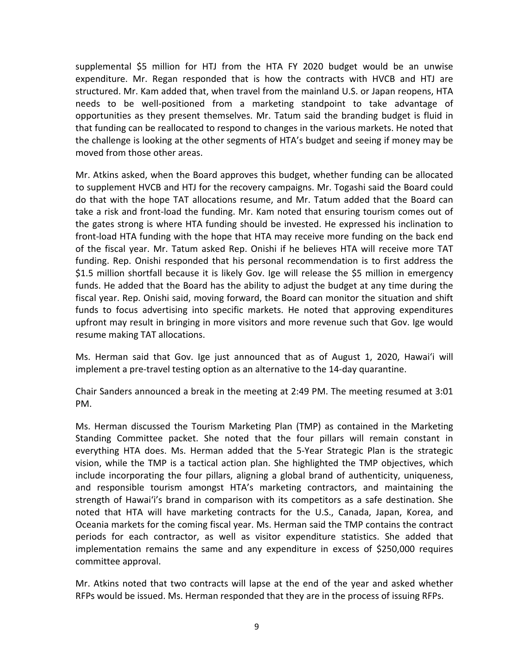supplemental \$5 million for HTJ from the HTA FY 2020 budget would be an unwise expenditure. Mr. Regan responded that is how the contracts with HVCB and HTJ are structured. Mr. Kam added that, when travel from the mainland U.S. or Japan reopens, HTA needs to be well-positioned from a marketing standpoint to take advantage of opportunities as they present themselves. Mr. Tatum said the branding budget is fluid in that funding can be reallocated to respond to changes in the various markets. He noted that the challenge is looking at the other segments of HTA's budget and seeing if money may be moved from those other areas.

Mr. Atkins asked, when the Board approves this budget, whether funding can be allocated to supplement HVCB and HTJ for the recovery campaigns. Mr. Togashi said the Board could do that with the hope TAT allocations resume, and Mr. Tatum added that the Board can take a risk and front-load the funding. Mr. Kam noted that ensuring tourism comes out of the gates strong is where HTA funding should be invested. He expressed his inclination to front-load HTA funding with the hope that HTA may receive more funding on the back end of the fiscal year. Mr. Tatum asked Rep. Onishi if he believes HTA will receive more TAT funding. Rep. Onishi responded that his personal recommendation is to first address the \$1.5 million shortfall because it is likely Gov. Ige will release the \$5 million in emergency funds. He added that the Board has the ability to adjust the budget at any time during the fiscal year. Rep. Onishi said, moving forward, the Board can monitor the situation and shift funds to focus advertising into specific markets. He noted that approving expenditures upfront may result in bringing in more visitors and more revenue such that Gov. Ige would resume making TAT allocations.

Ms. Herman said that Gov. Ige just announced that as of August 1, 2020, Hawaiʻi will implement a pre-travel testing option as an alternative to the 14-day quarantine.

Chair Sanders announced a break in the meeting at 2:49 PM. The meeting resumed at 3:01 PM.

Ms. Herman discussed the Tourism Marketing Plan (TMP) as contained in the Marketing Standing Committee packet. She noted that the four pillars will remain constant in everything HTA does. Ms. Herman added that the 5-Year Strategic Plan is the strategic vision, while the TMP is a tactical action plan. She highlighted the TMP objectives, which include incorporating the four pillars, aligning a global brand of authenticity, uniqueness, and responsible tourism amongst HTA's marketing contractors, and maintaining the strength of Hawaiʻi's brand in comparison with its competitors as a safe destination. She noted that HTA will have marketing contracts for the U.S., Canada, Japan, Korea, and Oceania markets for the coming fiscal year. Ms. Herman said the TMP contains the contract periods for each contractor, as well as visitor expenditure statistics. She added that implementation remains the same and any expenditure in excess of \$250,000 requires committee approval.

Mr. Atkins noted that two contracts will lapse at the end of the year and asked whether RFPs would be issued. Ms. Herman responded that they are in the process of issuing RFPs.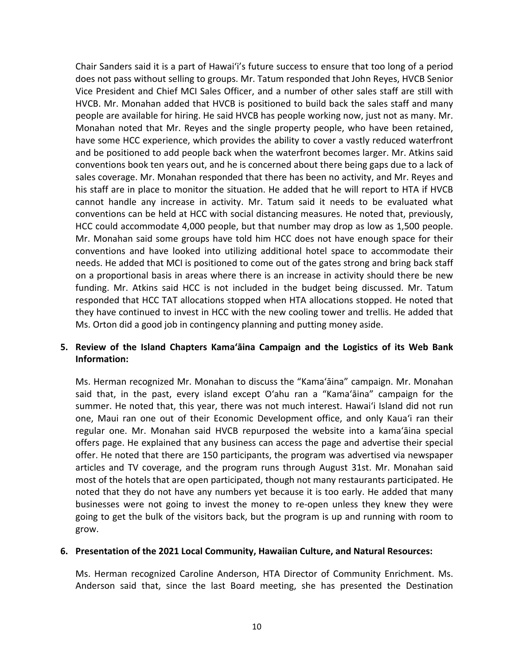Chair Sanders said it is a part of Hawaiʻi's future success to ensure that too long of a period does not pass without selling to groups. Mr. Tatum responded that John Reyes, HVCB Senior Vice President and Chief MCI Sales Officer, and a number of other sales staff are still with HVCB. Mr. Monahan added that HVCB is positioned to build back the sales staff and many people are available for hiring. He said HVCB has people working now, just not as many. Mr. Monahan noted that Mr. Reyes and the single property people, who have been retained, have some HCC experience, which provides the ability to cover a vastly reduced waterfront and be positioned to add people back when the waterfront becomes larger. Mr. Atkins said conventions book ten years out, and he is concerned about there being gaps due to a lack of sales coverage. Mr. Monahan responded that there has been no activity, and Mr. Reyes and his staff are in place to monitor the situation. He added that he will report to HTA if HVCB cannot handle any increase in activity. Mr. Tatum said it needs to be evaluated what conventions can be held at HCC with social distancing measures. He noted that, previously, HCC could accommodate 4,000 people, but that number may drop as low as 1,500 people. Mr. Monahan said some groups have told him HCC does not have enough space for their conventions and have looked into utilizing additional hotel space to accommodate their needs. He added that MCI is positioned to come out of the gates strong and bring back staff on a proportional basis in areas where there is an increase in activity should there be new funding. Mr. Atkins said HCC is not included in the budget being discussed. Mr. Tatum responded that HCC TAT allocations stopped when HTA allocations stopped. He noted that they have continued to invest in HCC with the new cooling tower and trellis. He added that Ms. Orton did a good job in contingency planning and putting money aside.

# **5. Review of the Island Chapters Kamaʻāina Campaign and the Logistics of its Web Bank Information:**

Ms. Herman recognized Mr. Monahan to discuss the "Kamaʻāina" campaign. Mr. Monahan said that, in the past, every island except Oʻahu ran a "Kamaʻāina" campaign for the summer. He noted that, this year, there was not much interest. Hawaiʻi Island did not run one, Maui ran one out of their Economic Development office, and only Kauaʻi ran their regular one. Mr. Monahan said HVCB repurposed the website into a kamaʻāina special offers page. He explained that any business can access the page and advertise their special offer. He noted that there are 150 participants, the program was advertised via newspaper articles and TV coverage, and the program runs through August 31st. Mr. Monahan said most of the hotels that are open participated, though not many restaurants participated. He noted that they do not have any numbers yet because it is too early. He added that many businesses were not going to invest the money to re-open unless they knew they were going to get the bulk of the visitors back, but the program is up and running with room to grow.

#### **6. Presentation of the 2021 Local Community, Hawaiian Culture, and Natural Resources:**

Ms. Herman recognized Caroline Anderson, HTA Director of Community Enrichment. Ms. Anderson said that, since the last Board meeting, she has presented the Destination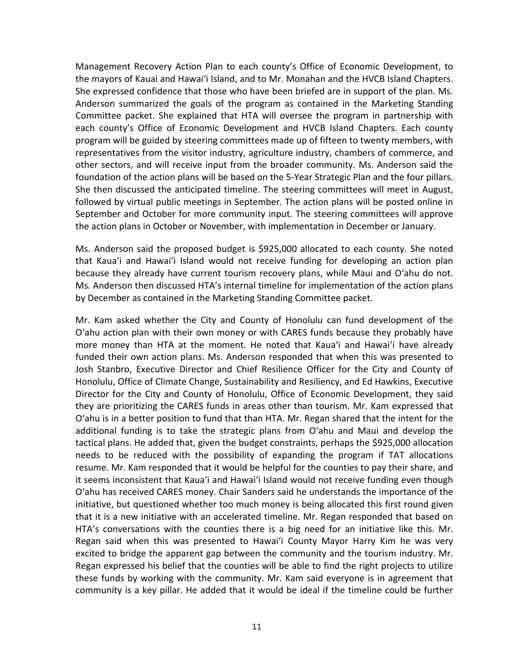Management Recovery Action Plan to each county's Office of Economic Development, to the mayors of Kauai and Hawaiʻi Island, and to Mr. Monahan and the HVCB Island Chapters. She expressed confidence that those who have been briefed are in support of the plan. Ms. Anderson summarized the goals of the program as contained in the Marketing Standing Committee packet. She explained that HTA will oversee the program in partnership with each county's Office of Economic Development and HVCB Island Chapters. Each county program will be guided by steering committees made up of fifteen to twenty members, with representatives from the visitor industry, agriculture industry, chambers of commerce, and other sectors, and will receive input from the broader community. Ms. Anderson said the foundation of the action plans will be based on the 5-Year Strategic Plan and the four pillars. She then discussed the anticipated timeline. The steering committees will meet in August, followed by virtual public meetings in September. The action plans will be posted online in September and October for more community input. The steering committees will approve the action plans in October or November, with implementation in December or January.

Ms. Anderson said the proposed budget is \$925,000 allocated to each county. She noted that Kauaʻi and Hawaiʻi Island would not receive funding for developing an action plan because they already have current tourism recovery plans, while Maui and Oʻahu do not. Ms. Anderson then discussed HTA's internal timeline for implementation of the action plans by December as contained in the Marketing Standing Committee packet.

Mr. Kam asked whether the City and County of Honolulu can fund development of the Oʻahu action plan with their own money or with CARES funds because they probably have more money than HTA at the moment. He noted that Kauaʻi and Hawaiʻi have already funded their own action plans. Ms. Anderson responded that when this was presented to Josh Stanbro, Executive Director and Chief Resilience Officer for the City and County of Honolulu, Office of Climate Change, Sustainability and Resiliency, and Ed Hawkins, Executive Director for the City and County of Honolulu, Office of Economic Development, they said they are prioritizing the CARES funds in areas other than tourism. Mr. Kam expressed that Oʻahu is in a better position to fund that than HTA. Mr. Regan shared that the intent for the additional funding is to take the strategic plans from Oʻahu and Maui and develop the tactical plans. He added that, given the budget constraints, perhaps the \$925,000 allocation needs to be reduced with the possibility of expanding the program if TAT allocations resume. Mr. Kam responded that it would be helpful for the counties to pay their share, and it seems inconsistent that Kauaʻi and Hawaiʻi Island would not receive funding even though Oʻahu has received CARES money. Chair Sanders said he understands the importance of the initiative, but questioned whether too much money is being allocated this first round given that it is a new initiative with an accelerated timeline. Mr. Regan responded that based on HTA's conversations with the counties there is a big need for an initiative like this. Mr. Regan said when this was presented to Hawaiʻi County Mayor Harry Kim he was very excited to bridge the apparent gap between the community and the tourism industry. Mr. Regan expressed his belief that the counties will be able to find the right projects to utilize these funds by working with the community. Mr. Kam said everyone is in agreement that community is a key pillar. He added that it would be ideal if the timeline could be further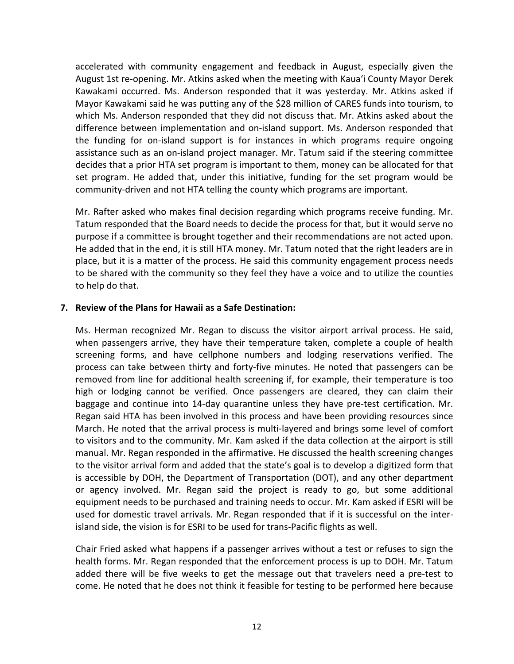accelerated with community engagement and feedback in August, especially given the August 1st re-opening. Mr. Atkins asked when the meeting with Kauaʻi County Mayor Derek Kawakami occurred. Ms. Anderson responded that it was yesterday. Mr. Atkins asked if Mayor Kawakami said he was putting any of the \$28 million of CARES funds into tourism, to which Ms. Anderson responded that they did not discuss that. Mr. Atkins asked about the difference between implementation and on-island support. Ms. Anderson responded that the funding for on-island support is for instances in which programs require ongoing assistance such as an on-island project manager. Mr. Tatum said if the steering committee decides that a prior HTA set program is important to them, money can be allocated for that set program. He added that, under this initiative, funding for the set program would be community-driven and not HTA telling the county which programs are important.

Mr. Rafter asked who makes final decision regarding which programs receive funding. Mr. Tatum responded that the Board needs to decide the process for that, but it would serve no purpose if a committee is brought together and their recommendations are not acted upon. He added that in the end, it is still HTA money. Mr. Tatum noted that the right leaders are in place, but it is a matter of the process. He said this community engagement process needs to be shared with the community so they feel they have a voice and to utilize the counties to help do that.

#### **7. Review of the Plans for Hawaii as a Safe Destination:**

Ms. Herman recognized Mr. Regan to discuss the visitor airport arrival process. He said, when passengers arrive, they have their temperature taken, complete a couple of health screening forms, and have cellphone numbers and lodging reservations verified. The process can take between thirty and forty-five minutes. He noted that passengers can be removed from line for additional health screening if, for example, their temperature is too high or lodging cannot be verified. Once passengers are cleared, they can claim their baggage and continue into 14-day quarantine unless they have pre-test certification. Mr. Regan said HTA has been involved in this process and have been providing resources since March. He noted that the arrival process is multi-layered and brings some level of comfort to visitors and to the community. Mr. Kam asked if the data collection at the airport is still manual. Mr. Regan responded in the affirmative. He discussed the health screening changes to the visitor arrival form and added that the state's goal is to develop a digitized form that is accessible by DOH, the Department of Transportation (DOT), and any other department or agency involved. Mr. Regan said the project is ready to go, but some additional equipment needs to be purchased and training needs to occur. Mr. Kam asked if ESRI will be used for domestic travel arrivals. Mr. Regan responded that if it is successful on the interisland side, the vision is for ESRI to be used for trans-Pacific flights as well.

Chair Fried asked what happens if a passenger arrives without a test or refuses to sign the health forms. Mr. Regan responded that the enforcement process is up to DOH. Mr. Tatum added there will be five weeks to get the message out that travelers need a pre-test to come. He noted that he does not think it feasible for testing to be performed here because